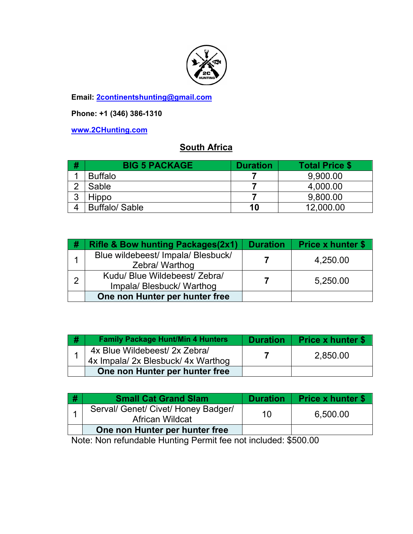

**Email: 2continentshunting@gmail.com**

**Phone: +1 (346) 386-1310** 

**www.2CHunting.com**

## **South Africa**

| # | <b>BIG 5 PACKAGE</b> | <b>Duration</b> | <b>Total Price \$</b> |
|---|----------------------|-----------------|-----------------------|
|   | <b>Buffalo</b>       |                 | 9,900.00              |
|   | Sable                |                 | 4,000.00              |
| ◠ | <b>Hippo</b>         |                 | 9,800.00              |
|   | <b>Buffalo/Sable</b> | 10              | 12,000.00             |

| # | <b>Rifle &amp; Bow hunting Packages(2x1)</b>             | <b>Duration</b> | <b>Price x hunter \$</b> |
|---|----------------------------------------------------------|-----------------|--------------------------|
|   | Blue wildebeest/ Impala/ Blesbuck/<br>Zebra/ Warthog     |                 | 4,250.00                 |
| ႒ | Kudu/ Blue Wildebeest/ Zebra/<br>Impala/Blesbuck/Warthog |                 | 5,250.00                 |
|   | One non Hunter per hunter free                           |                 |                          |

| # | <b>Family Package Hunt/Min 4 Hunters</b>                            | <b>Duration</b> | <b>Price x hunter \$</b> |
|---|---------------------------------------------------------------------|-----------------|--------------------------|
|   | 4x Blue Wildebeest/ 2x Zebra/<br>4x Impala/ 2x Blesbuck/ 4x Warthog |                 | 2,850.00                 |
|   | One non Hunter per hunter free                                      |                 |                          |

| ∣#        | <b>Small Cat Grand Slam</b>                                   | <b>Duration</b> | <b>Price x hunter \$</b> |
|-----------|---------------------------------------------------------------|-----------------|--------------------------|
|           | Serval/ Genet/ Civet/ Honey Badger/<br><b>African Wildcat</b> | 10              | 6,500.00                 |
|           | One non Hunter per hunter free                                |                 |                          |
| $\bullet$ |                                                               |                 |                          |

Note: Non refundable Hunting Permit fee not included: \$500.00